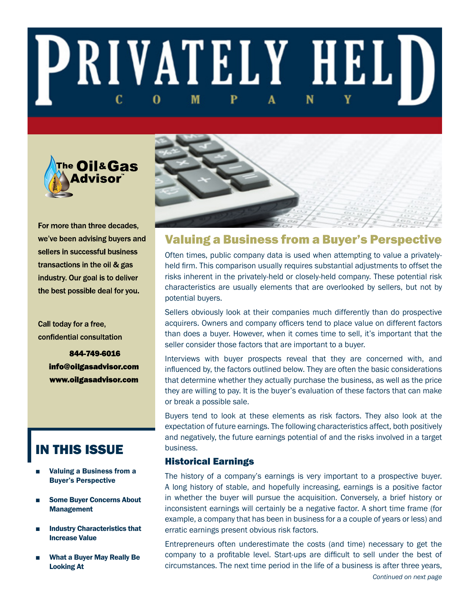# **PRIVATELY HELD** M 0



For more than three decades, we've been advising buyers and sellers in successful business transactions in the oil & gas industry. Our goal is to deliver the best possible deal for you.

Call today for a free, confidential consultation

> 844-749-6016 info@oilgasadvisor.com www.oilgasadvisor.com

# IN THIS ISSUE

- Valuing a Business from a Buyer's Perspective
- **Some Buver Concerns About** Management
- **Industry Characteristics that** Increase Value
- What a Buyer May Really Be Looking At



# Valuing a Business from a Buyer's Perspective

Often times, public company data is used when attempting to value a privatelyheld firm. This comparison usually requires substantial adjustments to offset the risks inherent in the privately-held or closely-held company. These potential risk characteristics are usually elements that are overlooked by sellers, but not by potential buyers.

Sellers obviously look at their companies much differently than do prospective acquirers. Owners and company officers tend to place value on different factors than does a buyer. However, when it comes time to sell, it's important that the seller consider those factors that are important to a buyer.

Interviews with buyer prospects reveal that they are concerned with, and influenced by, the factors outlined below. They are often the basic considerations that determine whether they actually purchase the business, as well as the price they are willing to pay. It is the buyer's evaluation of these factors that can make or break a possible sale.

Buyers tend to look at these elements as risk factors. They also look at the expectation of future earnings. The following characteristics affect, both positively and negatively, the future earnings potential of and the risks involved in a target business.

# Historical Earnings

The history of a company's earnings is very important to a prospective buyer. A long history of stable, and hopefully increasing, earnings is a positive factor in whether the buyer will pursue the acquisition. Conversely, a brief history or inconsistent earnings will certainly be a negative factor. A short time frame (for example, a company that has been in business for a a couple of years or less) and erratic earnings present obvious risk factors.

Entrepreneurs often underestimate the costs (and time) necessary to get the company to a profitable level. Start-ups are difficult to sell under the best of circumstances. The next time period in the life of a business is after three years,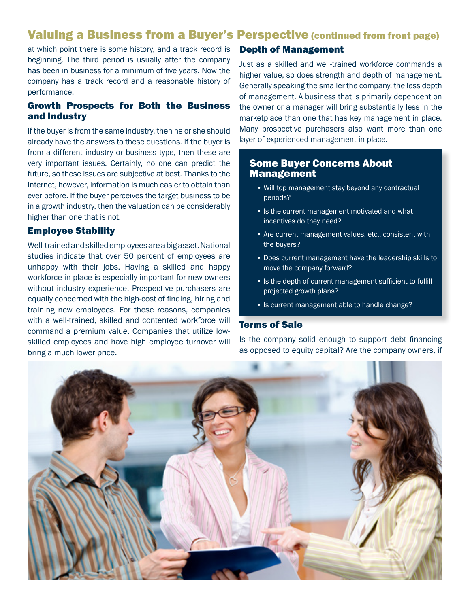# Valuing a Business from a Buyer's Perspective (continued from front page)

at which point there is some history, and a track record is beginning. The third period is usually after the company has been in business for a minimum of five years. Now the company has a track record and a reasonable history of performance.

# Growth Prospects for Both the Business and Industry

If the buyer is from the same industry, then he or she should already have the answers to these questions. If the buyer is from a different industry or business type, then these are very important issues. Certainly, no one can predict the future, so these issues are subjective at best. Thanks to the Internet, however, information is much easier to obtain than ever before. If the buyer perceives the target business to be in a growth industry, then the valuation can be considerably higher than one that is not.

## Employee Stability

Well-trained and skilled employees are a big asset. National studies indicate that over 50 percent of employees are unhappy with their jobs. Having a skilled and happy workforce in place is especially important for new owners without industry experience. Prospective purchasers are equally concerned with the high-cost of finding, hiring and training new employees. For these reasons, companies with a well-trained, skilled and contented workforce will command a premium value. Companies that utilize lowskilled employees and have high employee turnover will bring a much lower price.

# Depth of Management

Just as a skilled and well-trained workforce commands a higher value, so does strength and depth of management. Generally speaking the smaller the company, the less depth of management. A business that is primarily dependent on the owner or a manager will bring substantially less in the marketplace than one that has key management in place. Many prospective purchasers also want more than one layer of experienced management in place.

## Some Buyer Concerns About Management

- Will top management stay beyond any contractual periods?
- Is the current management motivated and what incentives do they need?
- Are current management values, etc., consistent with the buyers?
- Does current management have the leadership skills to move the company forward?
- Is the depth of current management sufficient to fulfill projected growth plans?
- Is current management able to handle change?

## Terms of Sale

Is the company solid enough to support debt financing as opposed to equity capital? Are the company owners, if

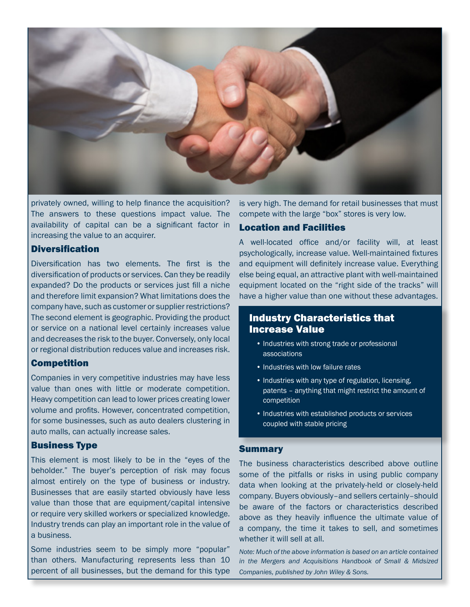

privately owned, willing to help finance the acquisition? The answers to these questions impact value. The availability of capital can be a significant factor in increasing the value to an acquirer.

#### Diversification

Diversification has two elements. The first is the diversification of products or services. Can they be readily expanded? Do the products or services just fill a niche and therefore limit expansion? What limitations does the company have, such as customer or supplier restrictions? The second element is geographic. Providing the product or service on a national level certainly increases value and decreases the risk to the buyer. Conversely, only local or regional distribution reduces value and increases risk.

# Competition

Companies in very competitive industries may have less value than ones with little or moderate competition. Heavy competition can lead to lower prices creating lower volume and profits. However, concentrated competition, for some businesses, such as auto dealers clustering in auto malls, can actually increase sales.

## Business Type

This element is most likely to be in the "eyes of the beholder." The buyer's perception of risk may focus almost entirely on the type of business or industry. Businesses that are easily started obviously have less value than those that are equipment/capital intensive or require very skilled workers or specialized knowledge. Industry trends can play an important role in the value of a business.

Some industries seem to be simply more "popular" than others. Manufacturing represents less than 10 percent of all businesses, but the demand for this type is very high. The demand for retail businesses that must compete with the large "box" stores is very low.

## Location and Facilities

A well-located office and/or facility will, at least psychologically, increase value. Well-maintained fixtures and equipment will definitely increase value. Everything else being equal, an attractive plant with well-maintained equipment located on the "right side of the tracks" will have a higher value than one without these advantages.

# Industry Characteristics that Increase Value

- Industries with strong trade or professional associations
- Industries with low failure rates
- Industries with any type of regulation, licensing, patents – anything that might restrict the amount of competition
- Industries with established products or services coupled with stable pricing

## **Summary**

The business characteristics described above outline some of the pitfalls or risks in using public company data when looking at the privately-held or closely-held company. Buyers obviously–and sellers certainly–should be aware of the factors or characteristics described above as they heavily influence the ultimate value of a company, the time it takes to sell, and sometimes whether it will sell at all.

*Note: Much of the above information is based on an article contained in the Mergers and Acquisitions Handbook of Small & Midsized Companies, published by John Wiley & Sons.*